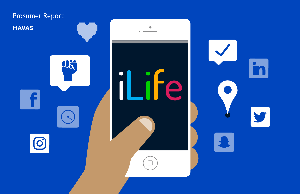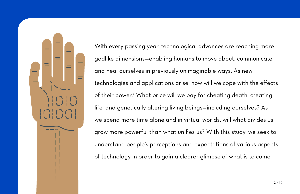With every passing year, technological advances are reaching more godlike dimensions—enabling humans to move about, communicate, and heal ourselves in previously unimaginable ways. As new technologies and applications arise, how will we cope with the effects of their power? What price will we pay for cheating death, creating life, and genetically altering living beings—including ourselves? As we spend more time alone and in virtual worlds, will what divides us grow more powerful than what unifies us? With this study, we seek to understand people's perceptions and expectations of various aspects of technology in order to gain a clearer glimpse of what is to come.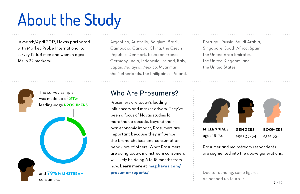# About the Study

In March/April 2017, Havas partnered with Market Probe International to survey 12,168 men and women ages 18+ in 32 markets:



Argentina, Australia, Belgium, Brazil, Cambodia, Canada, China, the Czech Republic, Denmark, Ecuador, France, Germany, India, Indonesia, Ireland, Italy, Japan, Malaysia, Mexico, Myanmar, the Netherlands, the Philippines, Poland,

Who Are Prosumers?

Prosumers are today's leading influencers and market drivers. They've been a focus of Havas studies for more than a decade. Beyond their own economic impact, Prosumers are important because they influence the brand choices and consumption behaviors of others. What Prosumers are doing today, mainstream consumers will likely be doing 6 to 18 months from now. **Learn more at [mag.havas.com/](http://mag.havas.com/prosumer-reports/) [prosumer-reports/](http://mag.havas.com/prosumer-reports/)**.

Portugal, Russia, Saudi Arabia, Singapore, South Africa, Spain, the United Arab Emirates, the United Kingdom, and the United States.



Prosumer and mainstream respondents are segmented into the above generations.

Due to rounding, some figures do not add up to 100%.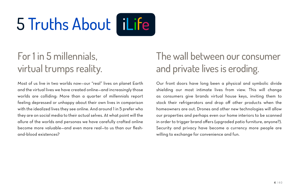# 5 Truths About Flife

# For 1 in 5 millennials, virtual trumps reality.

Most of us live in two worlds now—our "real" lives on planet Earth and the virtual lives we have created online—and increasingly those worlds are colliding: More than a quarter of millennials report feeling depressed or unhappy about their own lives in comparison with the idealized lives they see online. And around 1 in 5 prefer who they are on social media to their actual selves. At what point will the allure of the worlds and personas we have carefully crafted online become more valuable—and even more real—to us than our fleshand-blood existences?

# The wall between our consumer and private lives is eroding.

Our front doors have long been a physical and symbolic divide shielding our most intimate lives from view. This will change as consumers give brands virtual house keys, inviting them to stock their refrigerators and drop off other products when the homeowners are out. Drones and other new technologies will allow our properties and perhaps even our home interiors to be scanned in order to trigger brand offers (upgraded patio furniture, anyone?). Security and privacy have become a currency more people are willing to exchange for convenience and fun.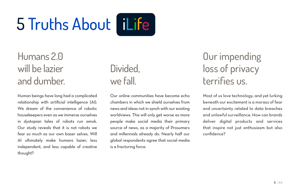# 5 Truths About Flife

# Humans 2.0 will be lazier and dumber.

Human beings have long had a complicated relationship with artificial intelligence (AI). We dream of the convenience of robotic housekeepers even as we immerse ourselves in dystopian tales of robots run amok. Our study reveals that it is not robots we fear so much as our own baser selves. Will AI ultimately make humans lazier, less independent, and less capable of creative thought?

## Divided, we fall.

Our online communities have become echo chambers in which we shield ourselves from news and ideas not in synch with our existing worldviews. This will only get worse as more people make social media their primary source of news, as a majority of Prosumers and millennials already do. Nearly half our global respondents agree that social media is a fracturing force.

# Our impending loss of privacy terrifies us.

Most of us love technology, and yet lurking beneath our excitement is a morass of fear and uncertainty related to data breaches and unlawful surveillance. How can brands deliver digital products and services that inspire not just enthusiasm but also confidence?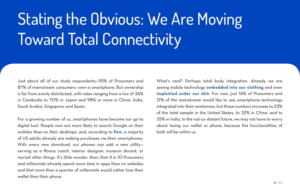# Stating the Obvious: We Are Moving Toward Total Connectivity

Just about all of our study respondents—95% of Prosumers and 87% of mainstream consumers—own a smartphone. But ownership is far from evenly distributed, with rates ranging from a low of 36% in Cambodia to 70% in Japan and 98% or more in China, India, Saudi Arabia, Singapore, and Spain.

For a growing number of us, smartphones have become our go-to digital tool. People now are more likely to search Google on their mobiles than on their desktops, and, according to **[Pew](http://www.pewresearch.org/fact-tank/2017/06/28/10-facts-about-smartphones/)**, a majority of US adults already are making purchases via their smartphones. With every new download, our phones can add a new utilityserving as a fitness coach, interior designer, museum docent, or myriad other things. It's little wonder, then, that 4 in 10 Prosumers and millennials already spend more time in apps than on websites and that more than a quarter of millennials would rather lose their wallet than their phone.

What's next? Perhaps total body integration. Already we are seeing mobile technology **[embedded into our clothing](https://atap.google.com/jacquard/)** and even **[implanted under our skin](https://www.fastcompany.com/3059769/ive-got-you-under-my-skin-the-new-frontier-of-digital-implants)**. For now, just 16% of Prosumers and 12% of the mainstream would like to see smartphone technology integrated into their anatomies, but those numbers increase to 23% of the total sample in the United States, to 32% in China, and to 35% in India. In the not-so-distant future, we may not have to worry about losing our wallet or phone, because the functionalities of both will be within us.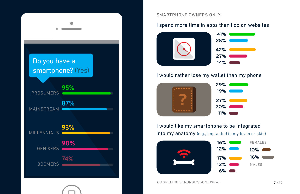

#### SMARTPHONE OWNERS ONLY:

### I spend more time in apps than I do on websites



### I would rather lose my wallet than my phone



### I would like my smartphone to be integrated into my anatomy (e.g., implanted in my brain or skin)

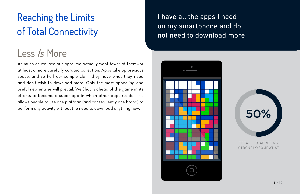# Reaching the Limits of Total Connectivity

## Less *Is* More

As much as we love our apps, we actually want fewer of them—or at least a more carefully curated collection. Apps take up precious space, and so half our sample claim they have what they need and don't wish to download more. Only the most appealing and useful new entries will prevail. WeChat is ahead of the game in its efforts to become a super-app in which other apps reside. This allows people to use one platform (and consequently one brand) to perform any activity without the need to download anything new.

I have all the apps I need on my smartphone and do not need to download more





TOTAL | % AGREEING STRONGLY/SOMEWHAT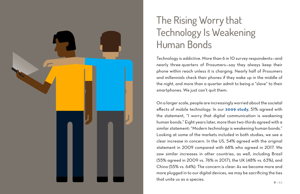

# The Rising Worry that Technology Is Weakening Human Bonds

Technology is addictive. More than 6 in 10 survey respondents—and nearly three-quarters of Prosumers—say they always keep their phone within reach unless it is charging. Nearly half of Prosumers and millennials check their phones if they wake up in the middle of the night, and more than a quarter admit to being a "slave" to their smartphones. We just can't quit them.

On a larger scale, people are increasingly worried about the societal effects of mobile technology. In our **[2009 study](http://mag.havas.com/prosumer-report/the-new-consumer/)**, 51% agreed with the statement, "I worry that digital communication is weakening human bonds." Eight years later, more than two-thirds agreed with a similar statement: "Modern technology is weakening human bonds." Looking at some of the markets included in both studies, we see a clear increase in concern. In the US, 54% agreed with the original statement in 2009 compared with 68% who agreed in 2017. We saw similar increases in other countries, as well, including Brazil (55% agreed in 2009 vs. 76% in 2017), the UK (48% vs. 63%), and China (55% vs. 64%). The concern is clear: As we become more and more plugged in to our digital devices, we may be sacrificing the ties that unite us as a species.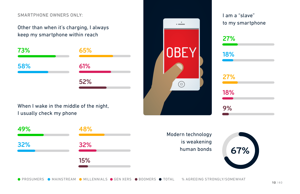#### SMARTPHONE OWNERS ONLY: I am a "slave" and a slave" in the state of the state of the state of the state of the state of the state of the state of the state of the state of the state of the state of the state of the state o

Other than when it's charging, I always keep my smartphone within reach



When I wake in the middle of the night, I usually check my phone



to my smartphone



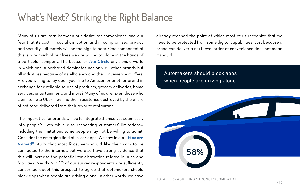## What's Next? Striking the Right Balance

Many of us are torn between our desire for convenience and our fear that its cost—in social disruption and in compromised privacy and security—ultimately will be too high to bear. One component of this is how much of our lives we are willing to place in the hands of a particular company. The bestseller *[The Circle](http://www.nytimes.com/2013/11/03/books/review/the-circle-by-dave-eggers.html)* envisions a world in which one superbrand dominates not only all other brands but all industries because of its efficiency and the convenience it offers. Are you willing to lay open your life to Amazon or another brand in exchange for a reliable source of products, grocery deliveries, home services, entertainment, and more? Many of us are. Even those who claim to hate Uber may find their resistance destroyed by the allure of hot food delivered from their favorite restaurant.

The imperative for brands will be to integrate themselves seamlessly into people's lives while also respecting customers' limitations including the limitations some people may not be willing to admit. Consider the emerging field of in-car apps. We saw in our **["Modern](http://mag.havas.com/prosumer-report/the-modern-nomad/)  [Nomad"](http://mag.havas.com/prosumer-report/the-modern-nomad/)** study that most Prosumers would like their cars to be connected to the internet, but we also have strong evidence that this will increase the potential for distraction-related injuries and fatalities. Nearly 6 in 10 of our survey respondents are sufficiently concerned about this prospect to agree that automakers should block apps when people are driving alone. In other words, we have already reached the point at which most of us recognize that we need to be protected from some digital capabilities. Just because a brand can deliver a next-level order of convenience does not mean it should.

### Automakers should block apps when people are driving alone



TOTAL | % AGREEING STRONGLY/SOMEWHAT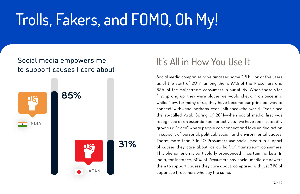# Trolls, Fakers, and FOMO, Oh My!

### Social media empowers me to support causes I care about



## It's All in How You Use It

Social media companies have amassed some 2.8 billion active users as of the start of 2017—among them, 97% of the Prosumers and 83% of the mainstream consumers in our study. When these sites first sprang up, they were places we would check in on once in a while. Now, for many of us, they have become our principal way to connect with—and perhaps even influence—the world. Ever since the so-called Arab Spring of 2011—when social media first was recognized as an essential tool for activists—we have seen it steadily grow as a "place" where people can connect and take unified action in support of personal, political, social, and environmental causes. Today, more than 7 in 10 Prosumers use social media in support of causes they care about, as do half of mainstream consumers. This phenomenon is particularly pronounced in certain markets. In India, for instance, 85% of Prosumers say social media empowers them to support causes they care about, compared with just 31% of Japanese Prosumers who say the same.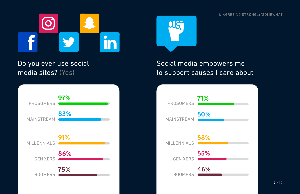

### Do you ever use social media sites? (Yes)



### Social media empowers me to support causes I care about

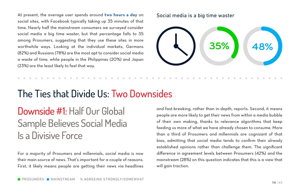At present, the average user spends around **[two hours a day](http://www.socialmediatoday.com/marketing/how-much-time-do-people-spend-social-media-infographic)** on social sites, with Facebook typically taking up 35 minutes of that time. Nearly half the mainstream consumers we surveyed consider social media a big time waster, but that percentage falls to 35 among Prosumers, suggesting that they use these sites in more worthwhile ways. Looking at the individual markets, Germans (82%) and Russians (78%) are the most apt to consider social media a waste of time, while people in the Philippines (20%) and Japan (23%) are the least likely to feel that way.

#### Social media is a big time waster



## The Ties that Divide Us: Two Downsides

# Downside #1: Half Our Global Sample Believes Social Media Is a Divisive Force

For a majority of Prosumers and millennials, social media is now their main source of news. That's important for a couple of reasons. First, it likely means people are getting their news via headlines and fast-breaking, rather than in-depth, reports. Second, it means people are more likely to get their news from within a media bubble of their own making, thanks to relevance algorithms that keep feeding us more of what we have already chosen to consume. More than a third of Prosumers and millennials are cognizant of that bias, admitting that social media tends to confirm their already established opinions rather than challenge them. The significant difference in agreement levels between Prosumers (42%) and the mainstream (28%) on this question indicates that this is a view that will gain traction.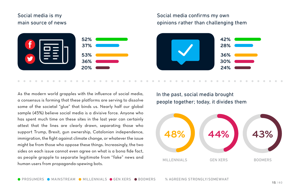### Social media is my main source of news



### Social media confirms my own opinions rather than challenging them



As the modern world grapples with the influence of social media, a consensus is forming that these platforms are serving to dissolve some of the societal "glue" that binds us. Nearly half our global sample (45%) believe social media is a divisive force. Anyone who has spent much time on these sites in the last year can certainly attest that the lines are clearly drawn, separating those who support Trump, Brexit, gun ownership, Catalonian independence, immigration, the fight against climate change, or whatever the issue might be from those who oppose these things. Increasingly, the two sides on each issue cannot even agree on what is a bona fide fact, as people grapple to separate legitimate from "fake" news and human users from propaganda-spewing bots.

In the past, social media brought people together; today, it divides them

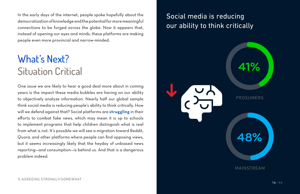In the early days of the internet, people spoke hopefully about the democratization of knowledge and the potential for more meaningful connections to be forged across the globe. Now it appears that, instead of opening our eyes and minds, these platforms are making people even more provincial and narrow-minded.

# What's Next? Situation Critical

One issue we are likely to hear a good deal more about in coming years is the impact these media bubbles are having on our ability to objectively analyze information. Nearly half our global sample think social media is reducing people's ability to think critically. How will we defend against that? Social platforms are **[struggling](https://qz.com/1123903/facebook-ended-a-test-to-fight-fake-news-that-called-real-news-fake/)** in their efforts to combat fake news, which may mean it is up to schools to implement programs that help children distinguish what is real from what is not. It's possible we will see a migration toward Reddit, Quora, and other platforms where people can find opposing views, but it seems increasingly likely that the heyday of unbiased news reporting—and consumption—is behind us. And that is a dangerous problem indeed.

### Social media is reducing our ability to think critically

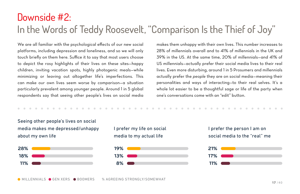## Downside #2: In the Words of Teddy Roosevelt, "Comparison Is the Thief of Joy"

We are all familiar with the psychological effects of our new social platforms, including depression and loneliness, and so we will only touch briefly on them here. Suffice it to say that most users choose to depict the rosy highlights of their lives on these sites—happy children, inviting vacation spots, highly photogenic meals—while minimizing or leaving out altogether life's imperfections. This can make our own lives seem worse by comparison—a situation particularly prevalent among younger people. Around 1 in 5 global respondents say that seeing other people's lives on social media makes them unhappy with their own lives. This number increases to 28% of millennials overall and to 41% of millennials in the UK and 39% in the US. At the same time, 20% of millennials—and 41% of US millennials—actually prefer their social media lives to their real lives. Even more disturbing, around 1 in 5 Prosumers and millennials actually prefer the *people* they are on social media—meaning their personalities and ways of interacting—to their real selves. It's a whole lot easier to be a thoughtful sage or life of the party when one's conversations come with an "edit" button.

Seeing other people's lives on social media makes me depressed/unhappy about my own life



I prefer my life on social media to my actual life





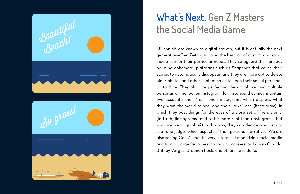



# What's Next: Gen Z Masters the Social Media Game

Millennials are known as digital natives, but it is actually the next generation—Gen Z—that is doing the best job of customizing social media use for their particular needs. They safeguard their privacy by using ephemeral platforms such as Snapchat that cause their stories to automatically disappear, and they are more apt to delete older photos and other content so as to keep their social personas up to date. They also are perfecting the art of creating multiple personas online. So, on Instagram, for instance, they may maintain two accounts: their "real" one (rinstagram), which displays what they want the world to see, and their "fake" one (finstagram), in which they post things for the eyes of a close set of friends only. (In truth, finstagrams tend to be more real than rinstagrams, but who are we to quibble?) In this way, they can decide who gets to see—and judge—which aspects of their personal narratives. We are also seeing Gen Z lead the way in terms of monetizing social media and turning large fan bases into paying careers, as Lauren Giraldo, Britney Vargas, Bretman Rock, and others have done.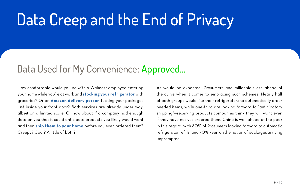# Data Creep and the End of Privacy

### Data Used for My Convenience: Approved…

How comfortable would you be with a Walmart employee entering your home while you're at work and **[stocking your refrigerator](https://blog.walmart.com/innovation/20170922/why-the-future-could-mean-delivery-straight-into-your-fridge)** with groceries? Or an **[Amazon delivery person](https://www.amazon.com/b?&node=17285120011)** tucking your packages just inside your front door? Both services are already under way, albeit on a limited scale. Or how about if a company had enough data on you that it could anticipate products you likely would want and then **[ship them to your home](https://techcrunch.com/2014/01/18/amazon-pre-ships/)** before you even ordered them? Creepy? Cool? A little of both?

As would be expected, Prosumers and millennials are ahead of the curve when it comes to embracing such schemes. Nearly half of both groups would like their refrigerators to automatically order needed items, while one-third are looking forward to "anticipatory shipping"—receiving products companies think they will want even if they have not yet ordered them. China is well ahead of the pack in this regard, with 80% of Prosumers looking forward to automatic refrigerator refills, and 70% keen on the notion of packages arriving unprompted.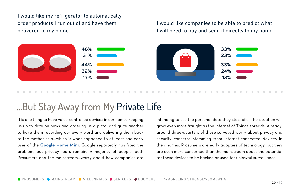I would like my refrigerator to automatically order products I run out of and have them delivered to my home

I would like companies to be able to predict what I will need to buy and send it directly to my home



### …But Stay Away from My Private Life

It is one thing to have voice-controlled devices in our homes keeping us up to date on news and ordering us a pizza, and quite another to have them recording our every word and delivering them back to the mother ship—which is what happened to at least one early user of the **[Google Home Mini](http://fortune.com/2017/10/11/google-home-mini-data-privacy/)**. Google reportedly has fixed the problem, but privacy fears remain. A majority of people—both Prosumers and the mainstream—worry about how companies are intending to use the personal data they stockpile. The situation will grow even more fraught as the Internet of Things spreads. Already, around three-quarters of those surveyed worry about privacy and security concerns stemming from internet-connected devices in their homes. Prosumers are early adopters of technology, but they are even more concerned than the mainstream about the potential for these devices to be hacked or used for unlawful surveillance.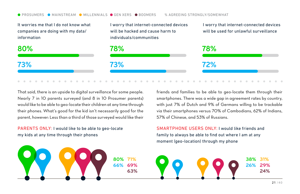#### **O PROSUMERS O MAINSTREAM O MILLENNIALS O GEN XERS O BOOMERS** % AGREEING STRONGLY/SOMEWHAT

It worries me that I do not know what companies are doing with my data/ information I worry that internet-connected devices will be hacked and cause harm to individuals/communities

I worry that internet-connected devices will be used for unlawful surveillance



That said, there is an upside to digital surveillance for some people. Nearly 7 in 10 parents surveyed (and 8 in 10 Prosumer parents) would like to be able to geo-locate their children at any time through their phones. What's good for the kid isn't necessarily good for the parent, however: Less than a third of those surveyed would like their

PARENTS ONLY: I would like to be able to geo-locate my kids at any time through their phones

friends and families to be able to geo-locate them through their smartphones. There was a wide gap in agreement rates by country, with just 7% of Dutch and 9% of Germans willing to be trackable via their smartphones versus 70% of Cambodians, 62% of Indians, 57% of Chinese, and 53% of Russians.

SMARTPHONE USERS ONLY: I would like friends and family to always be able to find out where I am at any moment (geo-location) through my phone

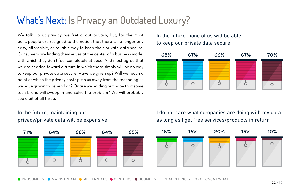# What's Next: Is Privacy an Outdated Luxury?

We talk about privacy, we fret about privacy, but, for the most part, people are resigned to the notion that there is no longer any easy, affordable, or reliable way to keep their private data secure. Consumers are finding themselves at the center of a business model with which they don't feel completely at ease. And most agree that we are headed toward a future in which there simply will be no way to keep our private data secure. Have we given up? Will we reach a point at which the privacy costs push us away from the technologies we have grown to depend on? Or are we holding out hope that some tech brand will swoop in and solve the problem? We will probably see a bit of all three.

### In the future, maintaining our privacy/private data will be expensive

| 71% | 64% | 66% | 64% | 65% |
|-----|-----|-----|-----|-----|
|     |     |     |     |     |

### In the future, none of us will be able to keep our private data secure



I do not care what companies are doing with my data as long as I get free services/products in return

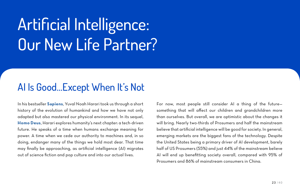# Artificial Intelligence: Our New Life Partner?

## AI Is Good…Except When It's Not

In his bestseller **[Sapiens](http://www.ynharari.com/book/sapiens/)**, Yuval Noah Harari took us through a short history of the evolution of humankind and how we have not only adapted but also mastered our physical environment. In its sequel, **[Homo Deus](http://www.ynharari.com/book/homo-deus/)**, Harari explores humanity's next chapter: a tech-driven future. He speaks of a time when humans exchange meaning for power. A time when we cede our authority to machines and, in so doing, endanger many of the things we hold most dear. That time may finally be approaching, as artificial intelligence (AI) migrates out of science fiction and pop culture and into our actual lives.

For now, most people still consider AI a thing of the future something that will affect our children and grandchildren more than ourselves. But overall, we are optimistic about the changes it will bring. Nearly two-thirds of Prosumers and half the mainstream believe that artificial intelligence will be good for society. In general, emerging markets are the biggest fans of the technology. Despite the United States being a primary driver of AI development, barely half of US Prosumers (55%) and just 44% of the mainstream believe AI will end up benefitting society overall, compared with 95% of Prosumers and 86% of mainstream consumers in China.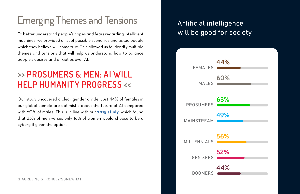# Emerging Themes and Tensions

To better understand people's hopes and fears regarding intelligent machines, we provided a list of possible scenarios and asked people which they believe will come true. This allowed us to identify multiple themes and tensions that will help us understand how to balance people's desires and anxieties over AI.

### **>> PROSUMERS & MEN: AI WILL HELP HUMANITY PROGRESS <<**

Our study uncovered a clear gender divide. Just 44% of females in our global sample are optimistic about the future of AI compared with 60% of males. This is in line with our **[2015 study](http://mag.havas.com/prosumer-report/ibody/)**, which found that 25% of men versus only 16% of women would choose to be a cyborg if given the option.

### Artificial intelligence will be good for society

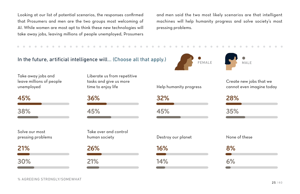Looking at our list of potential scenarios, the responses confirmed that Prosumers and men are the two groups most welcoming of AI. While women are most apt to think these new technologies will take away jobs, leaving millions of people unemployed, Prosumers and men said the two most likely scenarios are that intelligent machines will help humanity progress and solve society's most pressing problems.



Take away jobs and leave millions of people unemployed

| 45% |  |  |
|-----|--|--|
|     |  |  |
| 38% |  |  |
|     |  |  |
|     |  |  |
|     |  |  |

Solve our most pressing problems

**21% 30%**



**COLLEGE**  $\sim$ 

**45%**

Take over and control

**26% 21%**



**16%**

**14%**

FEMALE **MALE** 

Create new jobs that we cannot even imagine today



human society Destroy our planet None of these

**8% 6%**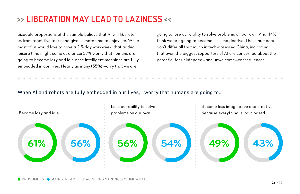### **>> LIBERATION MAY LEAD TO LAZINESS <<**

Sizeable proportions of the sample believe that AI will liberate us from repetitive tasks and give us more time to enjoy life. While most of us would love to have a 2.3-day workweek, that added leisure time might come at a price: 57% worry that humans are going to become lazy and idle once intelligent machines are fully embedded in our lives. Nearly as many (55%) worry that we are

going to lose our ability to solve problems on our own. And 44% think we are going to become less imaginative. These numbers don't differ all that much in tech-obsessed China, indicating that even the biggest supporters of AI are concerned about the potential for unintended—and unwelcome—consequences.

When AI and robots are fully embedded in our lives, I worry that humans are going to...

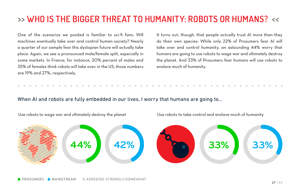## **>> WHO IS THE BIGGER THREAT TO HUMANITY: ROBOTS OR HUMANS? <<**

One of the scenarios we posited is familiar to sci-fi fans: Will machines eventually take over and control human society? Nearly a quarter of our sample fear this dystopian future will actually take place. Again, we see a pronounced male/female split, especially in some markets. In France, for instance, 20% percent of males and 35% of females think robots will take over; in the US, those numbers are 19% and 27%, respectively.

It turns out, though, that people actually trust AI more than they do their own species: While only 22% of Prosumers fear AI will take over and control humanity, an astounding 44% worry that humans are going to use robots to wage war and ultimately destroy the planet. And 33% of Prosumers fear humans will use robots to enslave much of humanity.

#### When AI and robots are fully embedded in our lives, I worry that humans are going to...

Use robots to wage war and ultimately destroy the planet Use robots to take control and enslave much of humanity

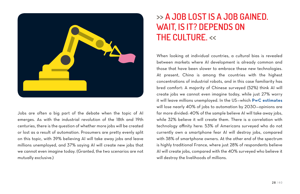

Jobs are often a big part of the debate when the topic of AI emerges. As with the industrial revolution of the 18th and 19th centuries, there is the question of whether more jobs will be created or lost as a result of automation. Prosumers are pretty evenly split on this topic, with 39% believing AI will take away jobs and leave millions unemployed, and 37% saying AI will create new jobs that we cannot even imagine today. (Granted, the two scenarios are not mutually exclusive.)

### **>> A JOB LOST IS A JOB GAINED. WAIT, IS IT? DEPENDS ON THE CULTURE. <<**

When looking at individual countries, a cultural bias is revealed between markets where AI development is already common and those that have been slower to embrace these new technologies. At present, China is among the countries with the highest concentrations of industrial robots, and in this case familiarity has bred comfort: A majority of Chinese surveyed (52%) think AI will create jobs we cannot even imagine today, while just 27% worry it will leave millions unemployed. In the US—which **[PwC estimates](http://fortune.com/2017/03/24/pwc-robots-jobs-study/)** will lose nearly 40% of jobs to automation by 2030—opinions are far more divided: 40% of the sample believe AI will take away jobs, while 32% believe it will create them. There is a correlation with technology affinity here: 53% of Americans surveyed who do not currently own a smartphone fear AI will destroy jobs, compared with 38% of smartphone owners. At the other end of the spectrum is highly traditional France, where just 28% of respondents believe AI will create jobs, compared with the 40% surveyed who believe it will destroy the livelihoods of millions.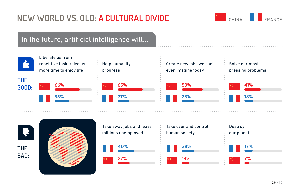

### In the future, artificial intelligence will...





| Take away jobs and leave | Take over and control     | Destroy                  |
|--------------------------|---------------------------|--------------------------|
| millions unemployed      | human society             | our planet               |
| 40%                      | $\blacksquare$ 28%        | 17%                      |
| H                        | a na m                    | <b>Contract Contract</b> |
| 27%<br>大知 ()             | $\blacksquare$ 14%<br>大臣。 | $\star$ 7%               |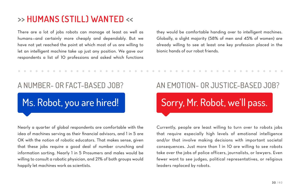### **>> HUMANS (STILL) WANTED <<**

There are a lot of jobs robots can manage at least as well as humans—and certainly more cheaply and dependably. But we have not yet reached the point at which most of us are willing to let an intelligent machine take up just any position. We gave our respondents a list of 10 professions and asked which functions they would be comfortable handing over to intelligent machines. Globally, a slight majority (58% of men and 45% of women) are already willing to see at least one key profession placed in the bionic hands of our robot friends.

### A NUMBER- OR FACT-BASED JOB?

# Ms. Robot, you are hired!

Nearly a quarter of global respondents are comfortable with the idea of machines serving as their financial advisors, and 1 in 5 are OK with the notion of robotic educators. That makes sense, given that these jobs require a good deal of number crunching and information sorting. Nearly 1 in 5 Prosumers and males would be willing to consult a robotic physician, and 21% of both groups would happily let machines work as scientists.

### AN EMOTION- OR JUSTICE-BASED JOB?

# Sorry, Mr. Robot, we'll pass.

Currently, people are least willing to turn over to robots jobs that require especially high levels of emotional intelligence and/or that involve making decisions with important societal consequences. Just more than 1 in 10 are willing to see robots take over the jobs of police officers, journalists, or lawyers. Even fewer want to see judges, political representatives, or religious leaders replaced by robots.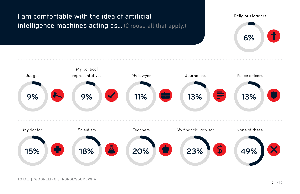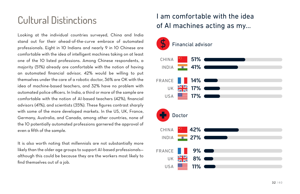# Cultural Distinctions

Looking at the individual countries surveyed, China and India stand out for their ahead-of-the-curve embrace of automated professionals. Eight in 10 Indians and nearly 9 in 10 Chinese are comfortable with the idea of intelligent machines taking on at least one of the 10 listed professions. Among Chinese respondents, a majority (51%) already are comfortable with the notion of having an automated financial advisor, 42% would be willing to put themselves under the care of a robotic doctor, 36% are OK with the idea of machine-based teachers, and 32% have no problem with automated police officers. In India, a third or more of the sample are comfortable with the notion of AI-based teachers (42%), financial advisors (41%), and scientists (35%). These figures contrast sharply with some of the more developed markets. In the US, UK, France, Germany, Australia, and Canada, among other countries, none of the 10 potentially automated professions garnered the approval of even a fifth of the sample.

It is also worth noting that millennials are not substantially more likely than the older age groups to support AI-based professionals although this could be because they are the workers most likely to find themselves out of a job.

### I am comfortable with the idea of AI machines acting as my...

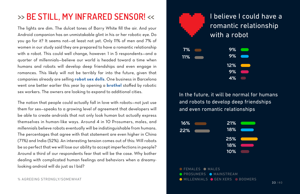### **>> BE STILL, MY INFRARED SENSOR! <<**

The lights are dim. The dulcet tones of Barry White fill the air. And your Android companion has an unmistakable glint in his or her robotic eye. Do you go for it? It seems not—at least not yet. Only 11% of men and 7% of women in our study said they are prepared to have a romantic relationship with a robot. This could well change, however: 1 in 5 respondents—and a quarter of millennials—believe our world is headed toward a time when humans and robots will develop deep friendships and even engage in romances. This likely will not be terribly far into the future, given that companies already are selling **[robot sex dolls](https://www.thesun.co.uk/tech/2084051/robot-sex-doll-cost-samantha/)**. One business in Barcelona went one better earlier this year by opening a **[brothel](https://www.thesun.co.uk/news/4131258/worlds-first-brothel-staffed-entirely-by-robot-sex-workers-now-looking-for-investors-to-go-global/)** staffed by robotic sex workers. The owners are looking to expand to additional cities.

The notion that people could actually fall in love with robots—not just use them for sex—speaks to a growing level of agreement that developers will be able to create androids that not only look human but actually express themselves in human-like ways. Around 4 in 10 Prosumers, males, and millennials believe robots eventually will be indistinguishable from humans. The percentages that agree with that statement are even higher in China (71%) and India (52%). An interesting tension comes out of this: Will robots be so perfect that we will lose our ability to accept imperfections in people? Around a third of our respondents fear that will be the case. Why bother dealing with complicated human feelings and behaviors when a dreamylooking android will do just as I bid? FEMALES ON MALES ON MALES ON MALES ON MALES ON MALES ON MALES ON MALES



In the future, it will be normal for humans and robots to develop deep friendships and even romantic relationships



PROSUMERS MAINSTREAM % AGREEING STRONGLY/SOMEWHAT MILLENNIALS GEN XERS ORDOMERS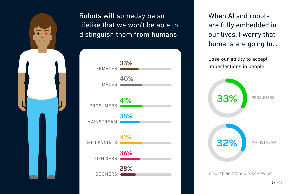



When AI and robots are fully embedded in our lives, I worry that humans are going to…

Lose our ability to accept imperfections in people

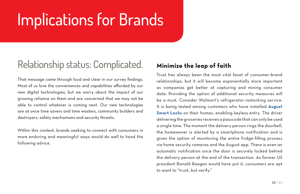# Implications for Brands

# Relationship status: Complicated.

That message came through loud and clear in our survey findings. Most of us love the conveniences and capabilities afforded by our new digital technologies, but we worry about the impact of our growing reliance on them and are concerned that we may not be able to control whatever is coming next. Our new technologies are at once time savers and time wasters, community builders and destroyers, safety mechanisms and security threats.

Within this context, brands seeking to connect with consumers in more enduring and meaningful ways would do well to heed the following advice.

### **Minimize the leap of faith**

Trust has always been the most vital facet of consumer-brand relationships, but it will become exponentially more important as companies get better at capturing and mining consumer data. Providing the option of additional security measures will be a must. Consider Walmart's refrigerator-restocking service. It is being tested among customers who have installed **[August](http://august.com/) [Smart Locks](http://august.com/)** on their homes, enabling keyless entry. The driver delivering the groceries receives a passcode that can only be used a single time. The moment the delivery person rings the doorbell, the homeowner is alerted by a smartphone notification and is given the option of monitoring the entire fridge-filling process via home security cameras and the August app. There is even an automatic notification once the door is securely locked behind the delivery person at the end of the transaction. As former US president Ronald Reagan would have put it, consumers are apt to want to "trust, but verify."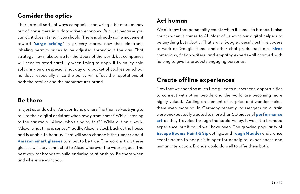### **Consider the optics**

There are all sorts of ways companies can wring a bit more money out of consumers in a data-driven economy. But just because you can do it doesn't mean you should. There is already some movement toward "**[surge pricing](http://www.telegraph.co.uk/news/2017/06/24/exclusive-end-fixed-prices-within-five-years-supermarkets-adopt/)**" in grocery stores, now that electronic labeling permits prices to be adjusted throughout the day. That strategy may make sense for the Ubers of the world, but companies will need to tread carefully when trying to apply it to an icy cold soft drink on an especially hot day or a packet of cookies on school holidays—especially since the policy will affect the reputations of both the retailer and the manufacturer brand.

### **Be there**

Is it just us or do other Amazon Echo owners find themselves trying to talk to their digital assistant when away from home? While listening to the car radio: "Alexa, who's singing this?" While out on a walk: "Alexa, what time is sunset?" Sadly, Alexa is stuck back at the house and is unable to hear us. That will soon change if the rumors about **[Amazon smart glasses](https://techcrunch.com/2017/09/20/amazon-is-working-on-smart-glasses-to-house-alexa-ai-says-ft/)** turn out to be true. The word is that these glasses will stay connected to Alexa wherever the wearer goes. The best way for brands to build enduring relationships: Be there when and where we want you.

### **Act human**

We all know that personality counts when it comes to brands. It also counts when it comes to AI. Most of us want our digital helpers to be anything but robotic. That's why Google doesn't just hire coders to work on Google Home and other chat products; it also **[hires](http://time.com/4979262/google-wants-to-give-computer-personality/)** comedians, fiction writers, and empathy experts—all charged with helping to give its products engaging personas.

### **Create offline experiences**

Now that we spend so much time glued to our screens, opportunities to connect with other people and the world are becoming more highly valued. Adding an element of surprise and wonder makes them even more so. In Germany recently, passengers on a train were unexpectedly treated to more than 50 pieces of **[performance](http://mymodernmet.com/germany-train-performance-art/) [art](http://mymodernmet.com/germany-train-performance-art/)** as they traveled through the Saale Valley. It wasn't a branded experience, but it could well have been. The growing popularity of **[Escape Rooms](https://breakoutgames.com/escape-rooms/)**, **[Paint & Sip](https://www.wineanddesign.com/)** outings, and **[Tough Mudder](https://toughmudder.com/)** endurance events points to people's hunger for nondigital experiences and human interaction. Brands would do well to offer them both.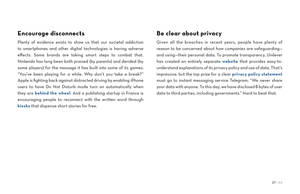### **Encourage disconnects**

Plenty of evidence exists to show us that our societal addiction to smartphones and other digital technologies is having adverse effects. Some brands are taking smart steps to combat that. Nintendo has long been both praised (by parents) and derided (by some players) for the message it has built into some of its games: "You've been playing for a while. Why don't you take a break?" Apple is fighting back against distracted driving by enabling iPhone users to have Do Not Disturb mode turn on automatically when they are **[behind the wheel](https://support.apple.com/en-us/HT208090)**. And a publishing startup in France is encouraging people to reconnect with the written word through **[kiosks](https://www.bostonglobe.com/arts/books/2017/05/23/got-little-time-your-hands-machine-pru-will-give-you-free-short-story/hf9YnNIAdo6gqh8anmOOJP/story.html)** that dispense short stories for free.

### **Be clear about privacy**

Given all the breaches in recent years, people have plenty of reason to be concerned about how companies are safeguarding and using—their personal data. To promote transparency, Unilever has created an entirely separate **[website](http://www.unileverprivacypolicy.com/en_gb/policy.aspx)** that provides easy-tounderstand explanations of its privacy policy and use of data. That's impressive, but the top prize for a clear **[privacy policy statement](https://telegram.org/privacy)** must go to instant messaging service Telegram: "We never share your data with anyone. To this day, we have disclosed 0 bytes of user data to third parties, including governments." Hard to beat that.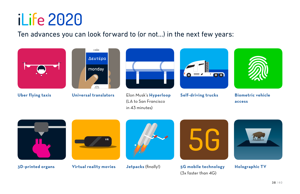

Ten advances you can look forward to (or not...) in the next few years:







**[Uber flying taxis](https://www.theverge.com/2017/11/8/16613228/uber-flying-car-la-nasa-space-act) [Universal translators](http://www.businessinsider.com/google-pixel-buds-universal-translator-hands-on-photos-2017-10)** Elon Musk's **[Hyperloop](https://hyperloop-one.com/)** (LA to San Francisco in 43 minutes)





**[Self-driving trucks](https://www.technologyreview.com/s/603493/10-breakthrough-technologies-2017-self-driving-trucks/) [Biometric vehicle](https://findbiometrics.com/biometric-vehicle-access-411029/)  [access](https://findbiometrics.com/biometric-vehicle-access-411029/)**









**[3D-printed organs](https://3dprintingindustry.com/news/5-million-funding-regenerates-collplants-3d-printed-organ-development-plans-123094/) [Virtual reality movies](https://deadline.com/2017/11/paramount-pictures-first-ever-virtual-reality-movie-theater-with-top-gun-3d-1202209276/) [Jetpacks](https://www.popsci.com/competition-make-jetpacks-real-2019)** (finally!) **[5G mobile technology](https://www.techworld.com/apps-wearables/what-is-5g-everything-you-need-know-about-5g-3634921/)** (3x faster than 4G)



**[Holographic TV](http://variety.com/2017/digital/news/light-field-lab-holographic-tv-1202032848/)**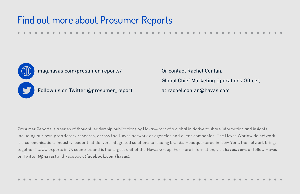# Find out more about Prosumer Reports





[mag.havas.com/prosumer-reports/](http://mag.havas.com/prosumer-reports/)



Follow us on Twitter [@prosumer\\_report](https://twitter.com/prosumer_report)

Or contact Rachel Conlan, Global Chief Marketing Operations Officer, at rachel.conlan@havas.com

Prosumer Reports is a series of thought leadership publications by Havas—part of a global initiative to share information and insights, including our own proprietary research, across the Havas network of agencies and client companies. The Havas Worldwide network is a communications industry leader that delivers integrated solutions to leading brands. Headquartered in New York, the network brings together 11,000 experts in 75 countries and is the largest unit of the Havas Group. For more information, visit **[havas.com](http://havas.com/)**, or follow Havas on Twitter (**[@havas](https://twitter.com/havas)**) and Facebook (**[facebook.com/havas](https://www.facebook.com/havasworldwide/)**).